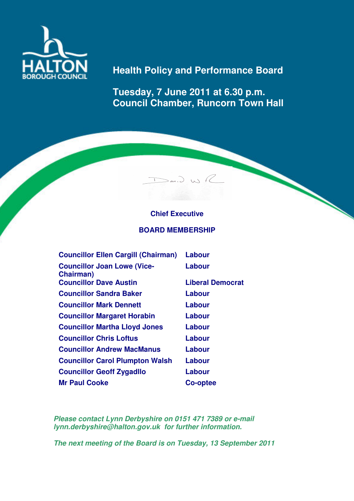

# **Health Policy and Performance Board**

**Tuesday, 7 June 2011 at 6.30 p.m. Council Chamber, Runcorn Town Hall** 

# **Chief Executive**

 $>$ av,  $>$   $\sim$   $\sim$ 

## **BOARD MEMBERSHIP**

| <b>Councillor Ellen Cargill (Chairman)</b>      | Labour                  |
|-------------------------------------------------|-------------------------|
| <b>Councillor Joan Lowe (Vice-</b><br>Chairman) | Labour                  |
| <b>Councillor Dave Austin</b>                   | <b>Liberal Democrat</b> |
| <b>Councillor Sandra Baker</b>                  | Labour                  |
| <b>Councillor Mark Dennett</b>                  | Labour                  |
| <b>Councillor Margaret Horabin</b>              | Labour                  |
| <b>Councillor Martha Lloyd Jones</b>            | Labour                  |
| <b>Councillor Chris Loftus</b>                  | Labour                  |
| <b>Councillor Andrew MacManus</b>               | Labour                  |
| <b>Councillor Carol Plumpton Walsh</b>          | Labour                  |
| <b>Councillor Geoff Zygadllo</b>                | Labour                  |
| <b>Mr Paul Cooke</b>                            | Co-optee                |

**Please contact Lynn Derbyshire on 0151 471 7389 or e-mail lynn.derbyshire@halton.gov.uk for further information.** 

**The next meeting of the Board is on Tuesday, 13 September 2011**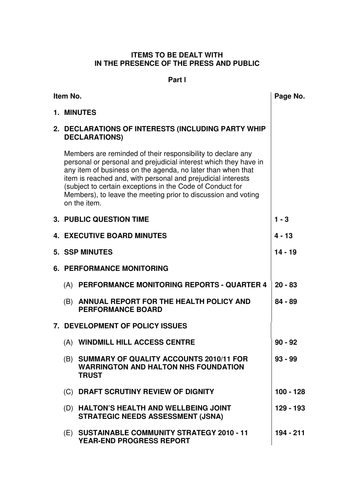## **ITEMS TO BE DEALT WITH IN THE PRESENCE OF THE PRESS AND PUBLIC**

## **Part l**

| Item No. |                                                                                                                                                                                                                                                                                                                                                                                                              | Page No.    |
|----------|--------------------------------------------------------------------------------------------------------------------------------------------------------------------------------------------------------------------------------------------------------------------------------------------------------------------------------------------------------------------------------------------------------------|-------------|
|          | 1. MINUTES                                                                                                                                                                                                                                                                                                                                                                                                   |             |
|          | 2. DECLARATIONS OF INTERESTS (INCLUDING PARTY WHIP<br><b>DECLARATIONS)</b>                                                                                                                                                                                                                                                                                                                                   |             |
|          | Members are reminded of their responsibility to declare any<br>personal or personal and prejudicial interest which they have in<br>any item of business on the agenda, no later than when that<br>item is reached and, with personal and prejudicial interests<br>(subject to certain exceptions in the Code of Conduct for<br>Members), to leave the meeting prior to discussion and voting<br>on the item. |             |
|          | <b>3. PUBLIC QUESTION TIME</b>                                                                                                                                                                                                                                                                                                                                                                               | $1 - 3$     |
|          | <b>4. EXECUTIVE BOARD MINUTES</b>                                                                                                                                                                                                                                                                                                                                                                            | $4 - 13$    |
|          | <b>5. SSP MINUTES</b>                                                                                                                                                                                                                                                                                                                                                                                        | $14 - 19$   |
|          | <b>6. PERFORMANCE MONITORING</b>                                                                                                                                                                                                                                                                                                                                                                             |             |
|          | (A) PERFORMANCE MONITORING REPORTS - QUARTER 4                                                                                                                                                                                                                                                                                                                                                               | $20 - 83$   |
|          | (B) ANNUAL REPORT FOR THE HEALTH POLICY AND<br><b>PERFORMANCE BOARD</b>                                                                                                                                                                                                                                                                                                                                      | $84 - 89$   |
|          | 7. DEVELOPMENT OF POLICY ISSUES                                                                                                                                                                                                                                                                                                                                                                              |             |
|          | (A) WINDMILL HILL ACCESS CENTRE                                                                                                                                                                                                                                                                                                                                                                              | $90 - 92$   |
|          | (B) SUMMARY OF QUALITY ACCOUNTS 2010/11 FOR<br><b>WARRINGTON AND HALTON NHS FOUNDATION</b><br><b>TRUST</b>                                                                                                                                                                                                                                                                                                   | $93 - 99$   |
|          | (C) DRAFT SCRUTINY REVIEW OF DIGNITY                                                                                                                                                                                                                                                                                                                                                                         | $100 - 128$ |
|          | (D) HALTON'S HEALTH AND WELLBEING JOINT<br><b>STRATEGIC NEEDS ASSESSMENT (JSNA)</b>                                                                                                                                                                                                                                                                                                                          | 129 - 193   |
|          | (E) SUSTAINABLE COMMUNITY STRATEGY 2010 - 11<br>YEAR-END PROGRESS REPORT                                                                                                                                                                                                                                                                                                                                     | 194 - 211   |